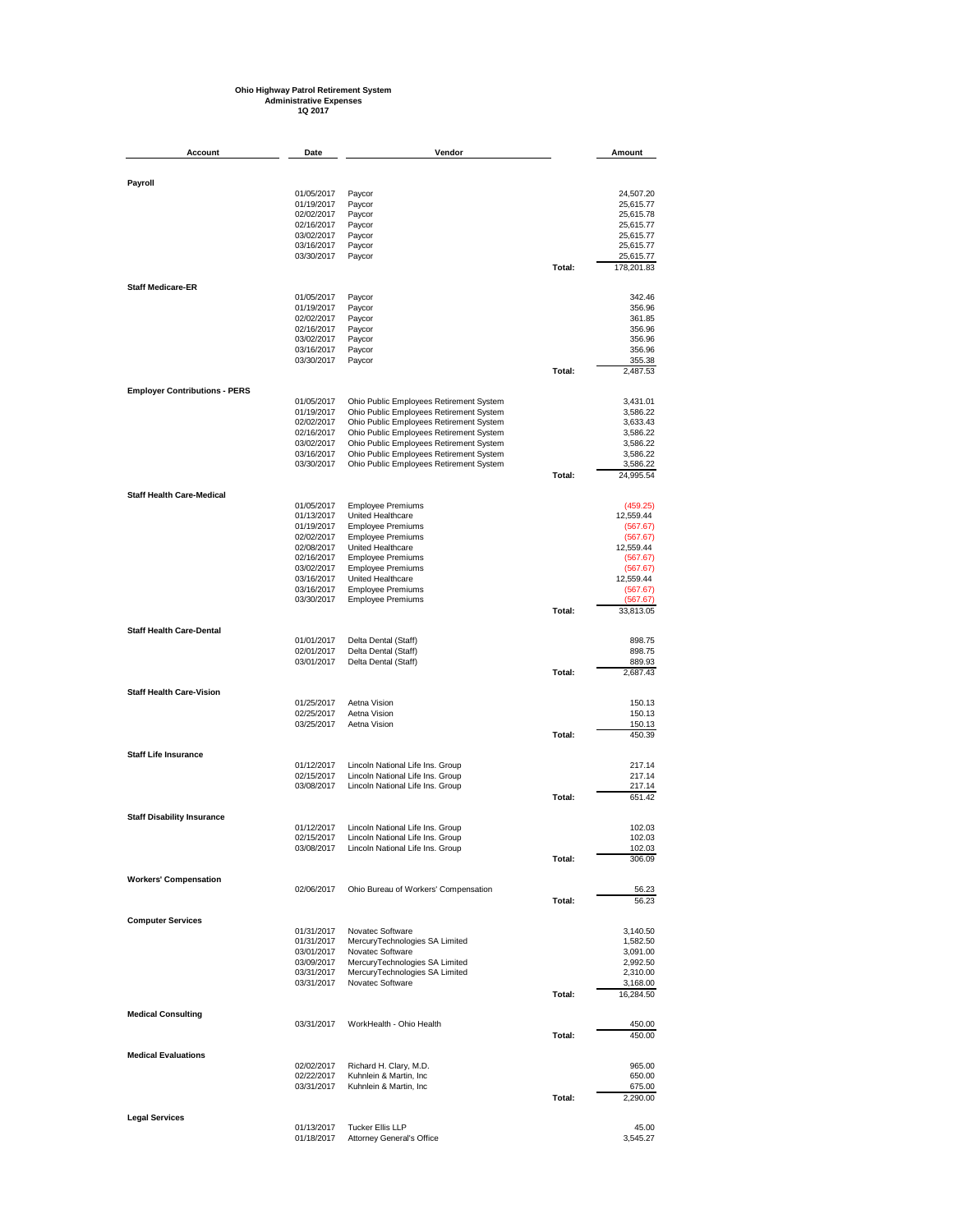## **Ohio Highway Patrol Retirement System Administrative Expenses 1Q 2017**

| Account                              | Date                     | Vendor                                                                             |        | Amount               |
|--------------------------------------|--------------------------|------------------------------------------------------------------------------------|--------|----------------------|
|                                      |                          |                                                                                    |        |                      |
| Payroll                              |                          |                                                                                    |        |                      |
|                                      | 01/05/2017               | Paycor                                                                             |        | 24,507.20            |
|                                      | 01/19/2017               | Paycor                                                                             |        | 25,615.77            |
|                                      | 02/02/2017               | Paycor                                                                             |        | 25,615.78            |
|                                      | 02/16/2017               | Paycor                                                                             |        | 25,615.77            |
|                                      | 03/02/2017               | Paycor                                                                             |        | 25,615.77            |
|                                      | 03/16/2017               | Paycor                                                                             |        | 25,615.77            |
|                                      | 03/30/2017               | Paycor                                                                             |        | 25,615.77            |
|                                      |                          |                                                                                    | Total: | 178,201.83           |
| <b>Staff Medicare-ER</b>             |                          |                                                                                    |        |                      |
|                                      | 01/05/2017               | Paycor                                                                             |        | 342.46               |
|                                      | 01/19/2017               | Paycor                                                                             |        | 356.96               |
|                                      | 02/02/2017               | Paycor                                                                             |        | 361.85               |
|                                      | 02/16/2017<br>03/02/2017 | Paycor                                                                             |        | 356.96<br>356.96     |
|                                      | 03/16/2017               | Paycor<br>Paycor                                                                   |        | 356.96               |
|                                      | 03/30/2017               | Paycor                                                                             |        | 355.38               |
|                                      |                          |                                                                                    | Total: | 2,487.53             |
|                                      |                          |                                                                                    |        |                      |
| <b>Employer Contributions - PERS</b> |                          |                                                                                    |        |                      |
|                                      | 01/05/2017<br>01/19/2017 | Ohio Public Employees Retirement System                                            |        | 3,431.01             |
|                                      | 02/02/2017               | Ohio Public Employees Retirement System                                            |        | 3,586.22             |
|                                      | 02/16/2017               | Ohio Public Employees Retirement System<br>Ohio Public Employees Retirement System |        | 3,633.43<br>3,586.22 |
|                                      | 03/02/2017               | Ohio Public Employees Retirement System                                            |        | 3,586.22             |
|                                      | 03/16/2017               | Ohio Public Employees Retirement System                                            |        | 3,586.22             |
|                                      | 03/30/2017               | Ohio Public Employees Retirement System                                            |        | 3,586.22             |
|                                      |                          |                                                                                    | Total: | 24,995.54            |
|                                      |                          |                                                                                    |        |                      |
| <b>Staff Health Care-Medical</b>     | 01/05/2017               | <b>Employee Premiums</b>                                                           |        | (459.25)             |
|                                      | 01/13/2017               | United Healthcare                                                                  |        | 12,559.44            |
|                                      | 01/19/2017               | <b>Employee Premiums</b>                                                           |        | (567.67)             |
|                                      | 02/02/2017               | <b>Employee Premiums</b>                                                           |        | (567.67)             |
|                                      | 02/08/2017               | United Healthcare                                                                  |        | 12,559.44            |
|                                      | 02/16/2017               | <b>Employee Premiums</b>                                                           |        | (567.67)             |
|                                      | 03/02/2017               | <b>Employee Premiums</b>                                                           |        | (567.67)             |
|                                      | 03/16/2017               | United Healthcare                                                                  |        | 12,559.44            |
|                                      | 03/16/2017               | <b>Employee Premiums</b>                                                           |        | (567.67)             |
|                                      | 03/30/2017               | <b>Employee Premiums</b>                                                           |        | (567.67)             |
|                                      |                          |                                                                                    | Total: | 33,813.05            |
| <b>Staff Health Care-Dental</b>      |                          |                                                                                    |        |                      |
|                                      | 01/01/2017               | Delta Dental (Staff)                                                               |        | 898.75               |
|                                      | 02/01/2017               | Delta Dental (Staff)                                                               |        | 898.75               |
|                                      | 03/01/2017               | Delta Dental (Staff)                                                               |        | 889.93               |
|                                      |                          |                                                                                    | Total: | 2,687.43             |
| <b>Staff Health Care-Vision</b>      |                          |                                                                                    |        |                      |
|                                      | 01/25/2017               | Aetna Vision                                                                       |        | 150.13               |
|                                      | 02/25/2017               | Aetna Vision                                                                       |        | 150.13               |
|                                      | 03/25/2017               | Aetna Vision                                                                       |        | 150.13               |
|                                      |                          |                                                                                    | Total: | 450.39               |
| <b>Staff Life Insurance</b>          |                          |                                                                                    |        |                      |
|                                      | 01/12/2017               | Lincoln National Life Ins. Group                                                   |        | 217.14               |
|                                      | 02/15/2017               | Lincoln National Life Ins. Group                                                   |        | 217.14               |
|                                      | 03/08/2017               | Lincoln National Life Ins. Group                                                   |        | 217.14               |
|                                      |                          |                                                                                    | Total: | 651.42               |
|                                      |                          |                                                                                    |        |                      |
| <b>Staff Disability Insurance</b>    | 01/12/2017               | Lincoln National Life Ins. Group                                                   |        | 102.03               |
|                                      | 02/15/2017               | Lincoln National Life Ins. Group                                                   |        | 102.03               |
|                                      | 03/08/2017               | Lincoln National Life Ins. Group                                                   |        | 102.03               |
|                                      |                          |                                                                                    | Total: | 306.09               |
| <b>Workers' Compensation</b>         |                          |                                                                                    |        |                      |
|                                      | 02/06/2017               | Ohio Bureau of Workers' Compensation                                               |        | 56.23                |
|                                      |                          |                                                                                    | Total: | 56.23                |
|                                      |                          |                                                                                    |        |                      |
| <b>Computer Services</b>             |                          | Novatec Software                                                                   |        | 3,140.50             |
|                                      | 01/31/2017<br>01/31/2017 | MercuryTechnologies SA Limited                                                     |        | 1,582.50             |
|                                      | 03/01/2017               | Novatec Software                                                                   |        | 3,091.00             |
|                                      | 03/09/2017               | MercuryTechnologies SA Limited                                                     |        | 2,992.50             |
|                                      | 03/31/2017               | MercuryTechnologies SA Limited                                                     |        | 2,310.00             |
|                                      | 03/31/2017               | Novatec Software                                                                   |        | 3,168.00             |
|                                      |                          |                                                                                    | Total: | 16,284.50            |
|                                      |                          |                                                                                    |        |                      |
| <b>Medical Consulting</b>            |                          |                                                                                    |        |                      |
|                                      | 03/31/2017               | WorkHealth - Ohio Health                                                           | Total: | 450.00<br>450.00     |
|                                      |                          |                                                                                    |        |                      |
| <b>Medical Evaluations</b>           |                          |                                                                                    |        |                      |
|                                      | 02/02/2017               | Richard H. Clary, M.D.                                                             |        | 965.00               |
|                                      | 02/22/2017               | Kuhnlein & Martin, Inc.                                                            |        | 650.00               |
|                                      | 03/31/2017               | Kuhnlein & Martin, Inc                                                             |        | 675.00               |
|                                      |                          |                                                                                    | Total: | 2,290.00             |
| <b>Legal Services</b>                |                          |                                                                                    |        |                      |
|                                      | 01/13/2017               | <b>Tucker Ellis LLP</b>                                                            |        | 45.00                |
|                                      | 01/18/2017               | Attorney General's Office                                                          |        | 3,545.27             |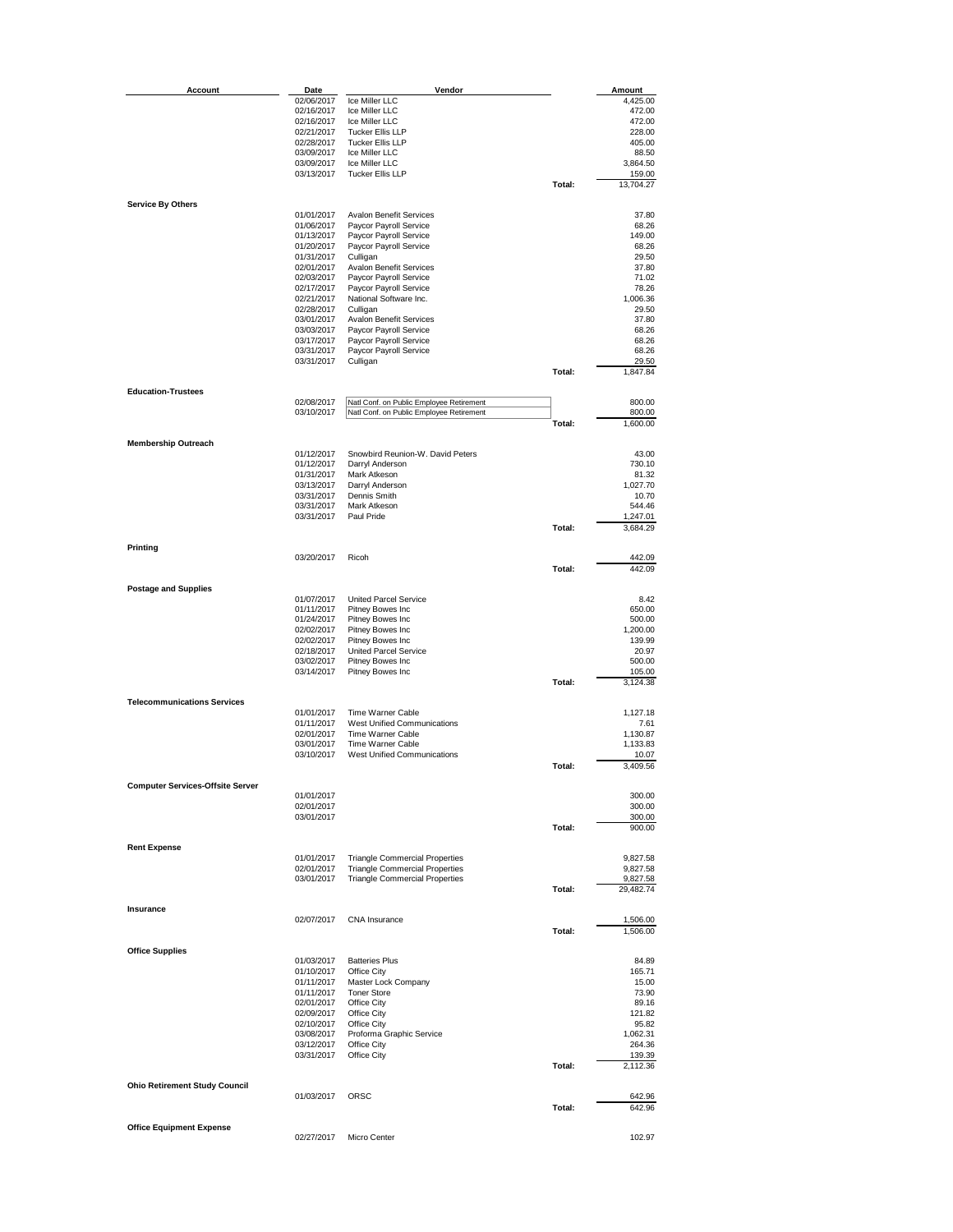| Account                                 | Date                     | Vendor                                                                               |        | Amount             |
|-----------------------------------------|--------------------------|--------------------------------------------------------------------------------------|--------|--------------------|
|                                         | 02/06/2017               | Ice Miller LLC                                                                       |        | 4,425.00           |
|                                         | 02/16/2017               | Ice Miller LLC                                                                       |        | 472.00             |
|                                         | 02/16/2017               | Ice Miller LLC                                                                       |        | 472.00             |
|                                         | 02/21/2017               | <b>Tucker Ellis LLP</b>                                                              |        | 228.00             |
|                                         | 02/28/2017               | <b>Tucker Ellis LLP</b>                                                              |        | 405.00             |
|                                         | 03/09/2017               | Ice Miller LLC                                                                       |        | 88.50              |
|                                         | 03/09/2017               | Ice Miller LLC<br><b>Tucker Ellis LLP</b>                                            |        | 3,864.50<br>159.00 |
|                                         | 03/13/2017               |                                                                                      | Total: | 13,704.27          |
|                                         |                          |                                                                                      |        |                    |
| <b>Service By Others</b>                |                          |                                                                                      |        |                    |
|                                         | 01/01/2017               | <b>Avalon Benefit Services</b>                                                       |        | 37.80              |
|                                         | 01/06/2017<br>01/13/2017 | Paycor Payroll Service<br>Paycor Payroll Service                                     |        | 68.26              |
|                                         | 01/20/2017               | Paycor Payroll Service                                                               |        | 149.00<br>68.26    |
|                                         | 01/31/2017               | Culligan                                                                             |        | 29.50              |
|                                         | 02/01/2017               | <b>Avalon Benefit Services</b>                                                       |        | 37.80              |
|                                         | 02/03/2017               | Paycor Payroll Service                                                               |        | 71.02              |
|                                         | 02/17/2017               | Paycor Payroll Service                                                               |        | 78.26              |
|                                         | 02/21/2017               | National Software Inc.                                                               |        | 1,006.36           |
|                                         | 02/28/2017               | Culligan                                                                             |        | 29.50              |
|                                         | 03/01/2017               | <b>Avalon Benefit Services</b>                                                       |        | 37.80              |
|                                         | 03/03/2017               | Paycor Payroll Service                                                               |        | 68.26              |
|                                         | 03/17/2017<br>03/31/2017 | Paycor Payroll Service<br>Paycor Payroll Service                                     |        | 68.26<br>68.26     |
|                                         | 03/31/2017               | Culligan                                                                             |        | 29.50              |
|                                         |                          |                                                                                      | Total: | 1,847.84           |
|                                         |                          |                                                                                      |        |                    |
| <b>Education-Trustees</b>               | 02/08/2017               |                                                                                      |        |                    |
|                                         | 03/10/2017               | Natl Conf. on Public Employee Retirement<br>Natl Conf. on Public Employee Retirement |        | 800.00<br>800.00   |
|                                         |                          |                                                                                      | Total: | 1,600.00           |
|                                         |                          |                                                                                      |        |                    |
| <b>Membership Outreach</b>              |                          |                                                                                      |        |                    |
|                                         | 01/12/2017               | Snowbird Reunion-W. David Peters                                                     |        | 43.00              |
|                                         | 01/12/2017               | Darryl Anderson                                                                      |        | 730.10             |
|                                         | 01/31/2017<br>03/13/2017 | Mark Atkeson<br>Darryl Anderson                                                      |        | 81.32<br>1,027.70  |
|                                         | 03/31/2017               | Dennis Smith                                                                         |        | 10.70              |
|                                         | 03/31/2017               | Mark Atkeson                                                                         |        | 544.46             |
|                                         | 03/31/2017               | Paul Pride                                                                           |        | 1,247.01           |
|                                         |                          |                                                                                      | Total: | 3,684.29           |
|                                         |                          |                                                                                      |        |                    |
| Printing                                | 03/20/2017               | Ricoh                                                                                |        | 442.09             |
|                                         |                          |                                                                                      | Total: | 442.09             |
|                                         |                          |                                                                                      |        |                    |
| <b>Postage and Supplies</b>             |                          |                                                                                      |        |                    |
|                                         | 01/07/2017               | United Parcel Service                                                                |        | 8.42               |
|                                         | 01/11/2017               | Pitney Bowes Inc                                                                     |        | 650.00             |
|                                         | 01/24/2017               | Pitney Bowes Inc                                                                     |        | 500.00             |
|                                         | 02/02/2017               | Pitney Bowes Inc                                                                     |        | 1,200.00           |
|                                         | 02/02/2017               | Pitney Bowes Inc                                                                     |        | 139.99             |
|                                         | 02/18/2017<br>03/02/2017 | United Parcel Service                                                                |        | 20.97<br>500.00    |
|                                         | 03/14/2017               | Pitney Bowes Inc<br>Pitney Bowes Inc                                                 |        | 105.00             |
|                                         |                          |                                                                                      | Total: | 3,124.38           |
|                                         |                          |                                                                                      |        |                    |
| <b>Telecommunications Services</b>      |                          |                                                                                      |        |                    |
|                                         | 01/01/2017               | Time Warner Cable                                                                    |        | 1,127.18           |
|                                         | 01/11/2017               | West Unified Communications                                                          |        | 7.61               |
|                                         | 02/01/2017               | Time Warner Cable                                                                    |        | 1,130.87           |
|                                         | 03/01/2017               | Time Warner Cable<br><b>West Unified Communications</b>                              |        | 1,133.83           |
|                                         | 03/10/2017               |                                                                                      | Total: | 10.07<br>3,409.56  |
|                                         |                          |                                                                                      |        |                    |
| <b>Computer Services-Offsite Server</b> |                          |                                                                                      |        |                    |
|                                         | 01/01/2017               |                                                                                      |        | 300.00             |
|                                         | 02/01/2017               |                                                                                      |        | 300.00             |
|                                         | 03/01/2017               |                                                                                      |        | 300.00             |
|                                         |                          |                                                                                      | Total: | 900.00             |
| <b>Rent Expense</b>                     |                          |                                                                                      |        |                    |
|                                         | 01/01/2017               | <b>Triangle Commercial Properties</b>                                                |        | 9,827.58           |
|                                         | 02/01/2017               | <b>Triangle Commercial Properties</b>                                                |        | 9,827.58           |
|                                         | 03/01/2017               | <b>Triangle Commercial Properties</b>                                                |        | 9,827.58           |
|                                         |                          |                                                                                      | Total: | 29,482.74          |
| Insurance                               |                          |                                                                                      |        |                    |
|                                         | 02/07/2017               | <b>CNA</b> Insurance                                                                 |        | 1,506.00           |
|                                         |                          |                                                                                      | Total: | 1,506.00           |
|                                         |                          |                                                                                      |        |                    |
| <b>Office Supplies</b>                  |                          |                                                                                      |        |                    |
|                                         | 01/03/2017               | <b>Batteries Plus</b>                                                                |        | 84.89              |
|                                         | 01/10/2017               | Office City                                                                          |        | 165.71             |
|                                         | 01/11/2017<br>01/11/2017 | Master Lock Company<br><b>Toner Store</b>                                            |        | 15.00<br>73.90     |
|                                         | 02/01/2017               | Office City                                                                          |        | 89.16              |
|                                         | 02/09/2017               | Office City                                                                          |        | 121.82             |
|                                         | 02/10/2017               | Office City                                                                          |        | 95.82              |
|                                         | 03/08/2017               | Proforma Graphic Service                                                             |        | 1,062.31           |
|                                         | 03/12/2017               | Office City                                                                          |        | 264.36             |
|                                         | 03/31/2017               | Office City                                                                          |        | 139.39             |
|                                         |                          |                                                                                      | Total: | 2,112.36           |
| <b>Ohio Retirement Study Council</b>    |                          |                                                                                      |        |                    |
|                                         | 01/03/2017               | ORSC                                                                                 |        | 642.96             |
|                                         |                          |                                                                                      | Total: | 642.96             |
|                                         |                          |                                                                                      |        |                    |
| <b>Office Equipment Expense</b>         |                          |                                                                                      |        |                    |
|                                         | 02/27/2017               | Micro Center                                                                         |        | 102.97             |